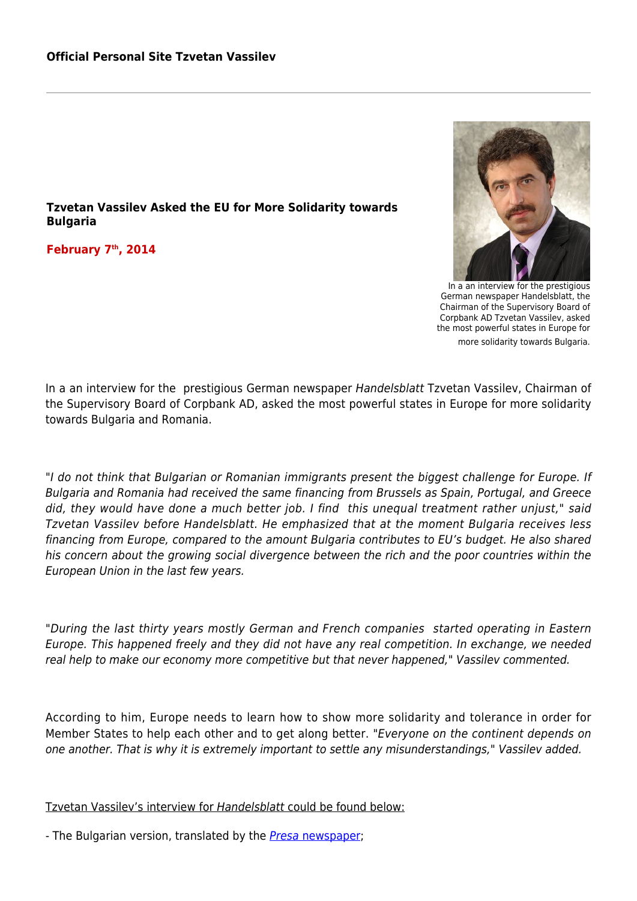## **Tzvetan Vassilev Asked the EU for More Solidarity towards Bulgaria**

**February 7th, 2014**



In a an interview for the prestigious German newspaper Handelsblatt, the Chairman of the Supervisory Board of Corpbank AD Tzvetan Vassilev, asked the most powerful states in Europe for more solidarity towards Bulgaria.

In a an interview for the prestigious German newspaper Handelsblatt Tzvetan Vassilev, Chairman of the Supervisory Board of Corpbank AD, asked the most powerful states in Europe for more solidarity towards Bulgaria and Romania.

"I do not think that Bulgarian or Romanian immigrants present the biggest challenge for Europe. If Bulgaria and Romania had received the same financing from Brussels as Spain, Portugal, and Greece did, they would have done a much better job. I find this unequal treatment rather unjust," said Tzvetan Vassilev before Handelsblatt. He emphasized that at the moment Bulgaria receives less financing from Europe, compared to the amount Bulgaria contributes to EU's budget. He also shared his concern about the growing social divergence between the rich and the poor countries within the European Union in the last few years.

"During the last thirty years mostly German and French companies started operating in Eastern Europe. This happened freely and they did not have any real competition. In exchange, we needed real help to make our economy more competitive but that never happened," Vassilev commented.

According to him, Europe needs to learn how to show more solidarity and tolerance in order for Member States to help each other and to get along better. "Everyone on the continent depends on one another. That is why it is extremely important to settle any misunderstandings," Vassilev added.

Tzvetan Vassilev's interview for Handelsblatt could be found below:

- The Bulgarian version, translated by the *Presa* [newspaper](http://pressadaily.bg/publication/34286-Ние-българите-не-сме-найголямата-опасност-за-Европа);